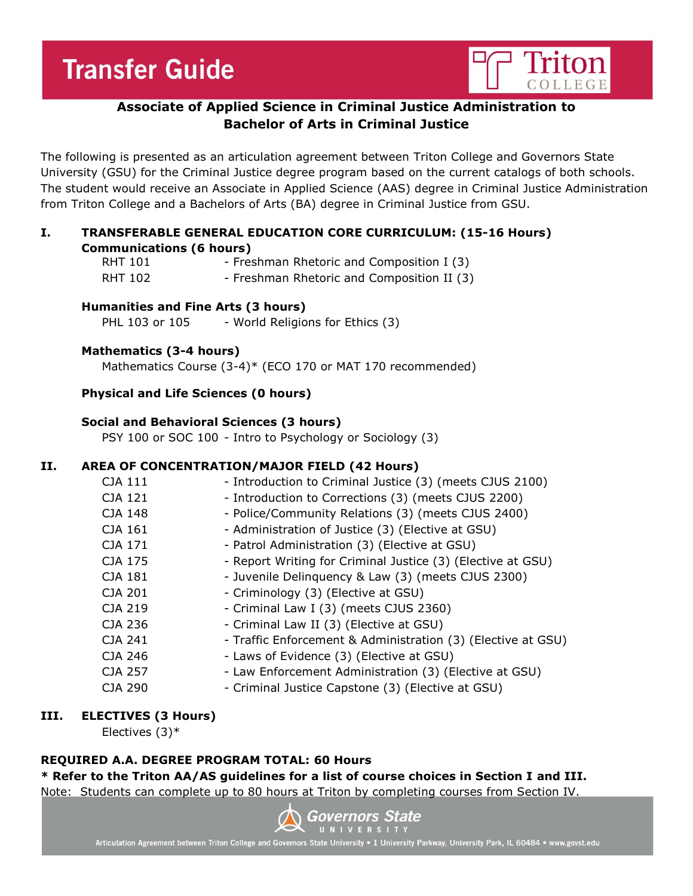# **Transfer Guide**



# **Associate of Applied Science in Criminal Justice Administration to Bachelor of Arts in Criminal Justice**

The following is presented as an articulation agreement between Triton College and Governors State University (GSU) for the Criminal Justice degree program based on the current catalogs of both schools. The student would receive an Associate in Applied Science (AAS) degree in Criminal Justice Administration from Triton College and a Bachelors of Arts (BA) degree in Criminal Justice from GSU.

#### **I. TRANSFERABLE GENERAL EDUCATION CORE CURRICULUM: (15-16 Hours) Communications (6 hours)**

| <b>RHT 101</b> | - Freshman Rhetoric and Composition I (3)  |
|----------------|--------------------------------------------|
| <b>RHT 102</b> | - Freshman Rhetoric and Composition II (3) |

#### **Humanities and Fine Arts (3 hours)**

PHL 103 or 105 - World Religions for Ethics (3)

# **Mathematics (3-4 hours)**

Mathematics Course (3-4)\* (ECO 170 or MAT 170 recommended)

# **Physical and Life Sciences (0 hours)**

#### **Social and Behavioral Sciences (3 hours)**

PSY 100 or SOC 100 - Intro to Psychology or Sociology (3)

# **II. AREA OF CONCENTRATION/MAJOR FIELD (42 Hours)**

| CJA 111        | - Introduction to Criminal Justice (3) (meets CJUS 2100)     |
|----------------|--------------------------------------------------------------|
| CJA 121        | - Introduction to Corrections (3) (meets CJUS 2200)          |
| CJA 148        | - Police/Community Relations (3) (meets CJUS 2400)           |
| CJA 161        | - Administration of Justice (3) (Elective at GSU)            |
| CJA 171        | - Patrol Administration (3) (Elective at GSU)                |
| CJA 175        | - Report Writing for Criminal Justice (3) (Elective at GSU)  |
| CJA 181        | - Juvenile Delinquency & Law (3) (meets CJUS 2300)           |
| CJA 201        | - Criminology (3) (Elective at GSU)                          |
| CJA 219        | - Criminal Law I (3) (meets CJUS 2360)                       |
| CJA 236        | - Criminal Law II (3) (Elective at GSU)                      |
| CJA 241        | - Traffic Enforcement & Administration (3) (Elective at GSU) |
| CJA 246        | - Laws of Evidence (3) (Elective at GSU)                     |
| CJA 257        | - Law Enforcement Administration (3) (Elective at GSU)       |
| <b>CJA 290</b> | - Criminal Justice Capstone (3) (Elective at GSU)            |
|                |                                                              |

# **III. ELECTIVES (3 Hours)**

Electives (3)\*

# **REQUIRED A.A. DEGREE PROGRAM TOTAL: 60 Hours**

**\* Refer to the Triton AA/AS guidelines for a list of course choices in Section I and III.** Note: Students can complete up to 80 hours at Triton by completing courses from Section IV.



Articulation Agreement between Triton College and Governors State University • 1 University Parkway, University Park, IL 60484 • www.govst.edu